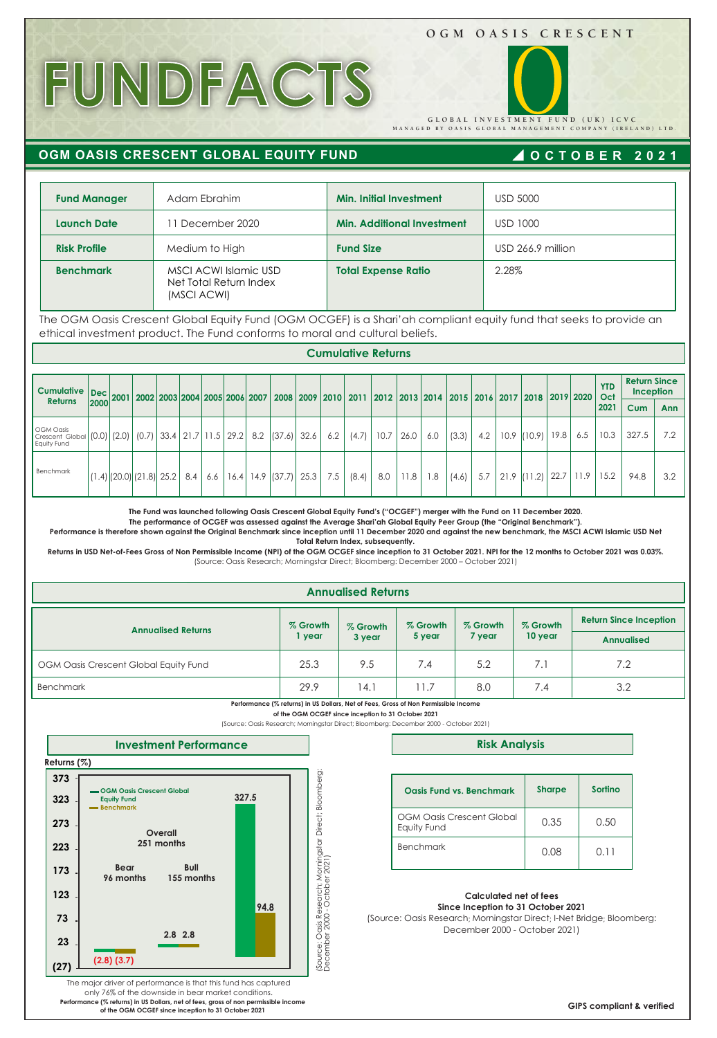### **OGM OASIS CRESCENT**

**MANAGED BY OASIS GLOBAL MANAGEMENT COMPANY (IRELAND) LTD. GLOBAL INVESTMENT FUND (UK) ICVC** 

# **FUNDFACTS**

 **OGM OASIS CRESCENT GLOBAL EQUITY FUND**

## **OCTOBER 2021**

| <b>Fund Manager</b> | Adam Ebrahim                                                   | Min. Initial Investment           | <b>USD 5000</b>   |
|---------------------|----------------------------------------------------------------|-----------------------------------|-------------------|
| <b>Launch Date</b>  | 11 December 2020                                               | <b>Min. Additional Investment</b> | <b>USD 1000</b>   |
| <b>Risk Profile</b> | Medium to High                                                 | <b>Fund Size</b>                  | USD 266.9 million |
| <b>Benchmark</b>    | MSCI ACWI Islamic USD<br>Net Total Return Index<br>(MSCI ACWI) | <b>Total Expense Ratio</b>        | 2.28%             |

The OGM Oasis Crescent Global Equity Fund (OGM OCGEF) is a Shari'ah compliant equity fund that seeks to provide an ethical investment product. The Fund conforms to moral and cultural beliefs.

**Cumulative Returns** 

| <b>Cumulative</b>                                  |      | Dec 2001 2002 2003 2004 2005 2006 2007                  |     |     |      |               |      |     |       |      |      | 2008 2009 2010 2011 2012 2013 2014 2015 2016 2017 2018 2019 2020 |       |     |      |               |      |      | <b>YTD</b><br>Oct | <b>Return Since</b><br>Inception |            |  |
|----------------------------------------------------|------|---------------------------------------------------------|-----|-----|------|---------------|------|-----|-------|------|------|------------------------------------------------------------------|-------|-----|------|---------------|------|------|-------------------|----------------------------------|------------|--|
| <b>Returns</b>                                     | 2000 |                                                         |     |     |      |               |      |     |       |      |      |                                                                  |       |     |      |               |      |      | 2021              | <b>Cum</b>                       | <b>Ann</b> |  |
| <b>OGM Oasis</b><br>Crescent Global<br>Equity Fund |      | (0.0)   (2.0)   (0.7)   33.4   21.7   11.5   29.2   8.2 |     |     |      | (37.6)        | 32.6 | 6.2 | (4.7) | 10.7 | 26.0 | 6.0                                                              | (3.3) | 4.2 | 10.9 | (10.9)        | 19.8 | 6.5  | 10.3              | 327.5                            | 7.2        |  |
| Benchmark                                          |      | $(1.4)$ $(20.0)$ $(21.8)$ $25.2$                        | 8.4 | 6.6 | 16.4 | $14.9$ (37.7) | 25.3 | 7.5 | (8.4) | 8.0  | 11.8 | 8.1                                                              | (4.6) | 5.7 |      | $21.9$ (11.2) | 22.7 | 11.9 | 15.2              | 94.8                             | 3.2        |  |

**The Fund was launched following Oasis Crescent Global Equity Fund's ("OCGEF") merger with the Fund on 11 December 2020.** 

**The performance of OCGEF was assessed against the Average Shari'ah Global Equity Peer Group (the "Original Benchmark").** 

**Performance is therefore shown against the Original Benchmark since inception until 11 December 2020 and against the new benchmark, the MSCI ACWI Islamic USD Net Total Return Index, subsequently.**

**Returns in USD Net-of-Fees Gross of Non Permissible Income (NPI) of the OGM OCGEF since inception to 31 October 2021. NPI for the 12 months to October 2021 was 0.03%.** (Source: Oasis Research; Morningstar Direct; Bloomberg: December 2000 – October 2021)

|                                       |                    | <b>Annualised Returns</b> |                    |                    |                     |                                                    |
|---------------------------------------|--------------------|---------------------------|--------------------|--------------------|---------------------|----------------------------------------------------|
| <b>Annualised Returns</b>             | % Growth<br>1 year | % Growth<br>3 year        | % Growth<br>5 year | % Growth<br>7 year | % Growth<br>10 year | <b>Return Since Inception</b><br><b>Annualised</b> |
| OGM Oasis Crescent Global Equity Fund | 25.3               | 9.5                       | 7.4                | 5.2                | 7.1                 | 7.2                                                |
| <b>Benchmark</b>                      | 29.9               | 4.1                       | 11.7               | 8.0                | 7.4                 | 3.2                                                |

**Performance (% returns) in US Dollars, Net of Fees, Gross of Non Permissible Income of the OGM OCGEF since inception to 31 October 2021**

(Source: Oasis Research; Morningstar Direct; Bloomberg: December 2000 - October 2021)



**Risk Analysis**

| Oasis Fund vs. Benchmark                        | <b>Sharpe</b> | Sortino |
|-------------------------------------------------|---------------|---------|
| <b>OGM Oasis Crescent Global</b><br>Equity Fund | 0.35          | 0.50    |
| <b>Benchmark</b>                                | 0.08          | 0.11    |

#### **Calculated net of fees Since Inception to 31 October 2021**

(Source: Oasis Research; Morningstar Direct; I-Net Bridge; Bloomberg: December 2000 - October 2021)

The major driver of performance is that this fund has captured only 76% of the downside in bear market conditions. **Performance (% returns) in US Dollars, net of fees, gross of non permissible income of the OGM OCGEF since inception to 31 October 2021**